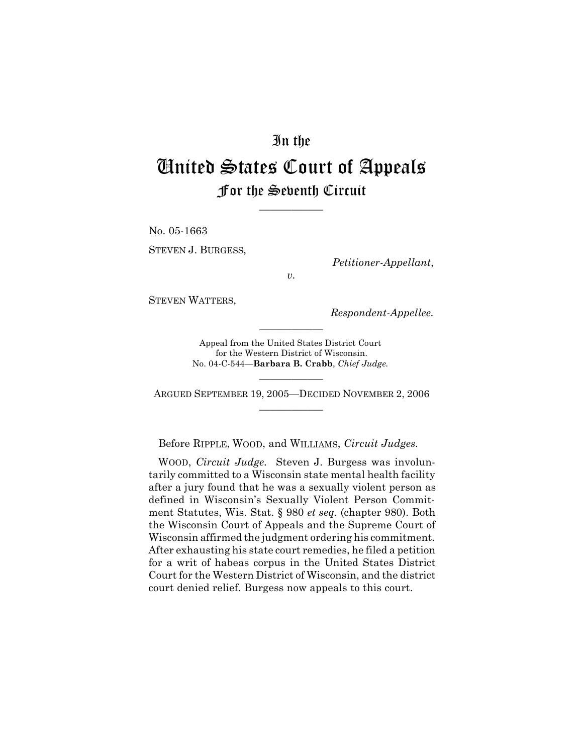## In the

# United States Court of Appeals For the Seventh Circuit

\_\_\_\_\_\_\_\_\_\_\_\_

No. 05-1663 STEVEN J. BURGESS,

*Petitioner-Appellant*,

*v.*

STEVEN WATTERS,

*Respondent-Appellee.*

Appeal from the United States District Court for the Western District of Wisconsin. No. 04-C-544—**Barbara B. Crabb**, *Chief Judge.*

\_\_\_\_\_\_\_\_\_\_\_\_

\_\_\_\_\_\_\_\_\_\_\_\_ ARGUED SEPTEMBER 19, 2005—DECIDED NOVEMBER 2, 2006 \_\_\_\_\_\_\_\_\_\_\_\_

Before RIPPLE, WOOD, and WILLIAMS, *Circuit Judges.*

WOOD, *Circuit Judge.* Steven J. Burgess was involuntarily committed to a Wisconsin state mental health facility after a jury found that he was a sexually violent person as defined in Wisconsin's Sexually Violent Person Commitment Statutes, Wis. Stat. § 980 *et seq.* (chapter 980). Both the Wisconsin Court of Appeals and the Supreme Court of Wisconsin affirmed the judgment ordering his commitment. After exhausting his state court remedies, he filed a petition for a writ of habeas corpus in the United States District Court for the Western District of Wisconsin, and the district court denied relief. Burgess now appeals to this court.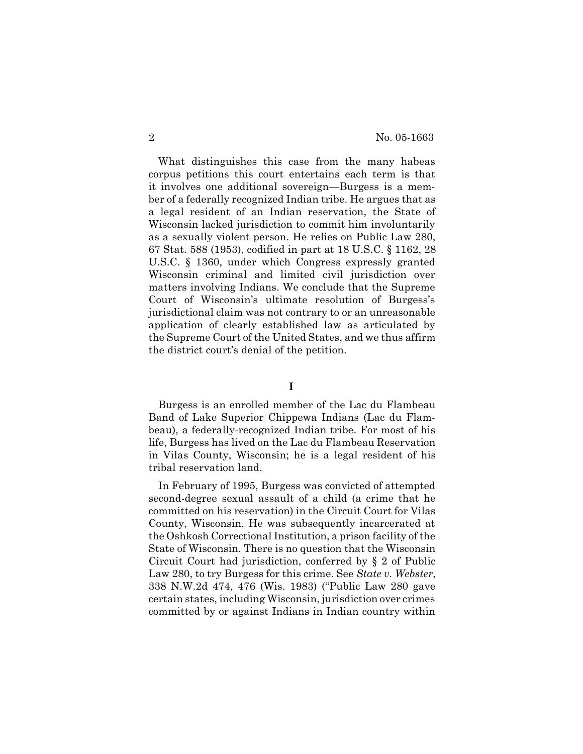What distinguishes this case from the many habeas corpus petitions this court entertains each term is that it involves one additional sovereign—Burgess is a member of a federally recognized Indian tribe. He argues that as a legal resident of an Indian reservation, the State of Wisconsin lacked jurisdiction to commit him involuntarily as a sexually violent person. He relies on Public Law 280, 67 Stat. 588 (1953), codified in part at 18 U.S.C. § 1162, 28 U.S.C. § 1360, under which Congress expressly granted Wisconsin criminal and limited civil jurisdiction over matters involving Indians. We conclude that the Supreme Court of Wisconsin's ultimate resolution of Burgess's jurisdictional claim was not contrary to or an unreasonable application of clearly established law as articulated by the Supreme Court of the United States, and we thus affirm the district court's denial of the petition.

### **I**

Burgess is an enrolled member of the Lac du Flambeau Band of Lake Superior Chippewa Indians (Lac du Flambeau), a federally-recognized Indian tribe. For most of his life, Burgess has lived on the Lac du Flambeau Reservation in Vilas County, Wisconsin; he is a legal resident of his tribal reservation land.

In February of 1995, Burgess was convicted of attempted second-degree sexual assault of a child (a crime that he committed on his reservation) in the Circuit Court for Vilas County, Wisconsin. He was subsequently incarcerated at the Oshkosh Correctional Institution, a prison facility of the State of Wisconsin. There is no question that the Wisconsin Circuit Court had jurisdiction, conferred by § 2 of Public Law 280, to try Burgess for this crime. See *State v. Webster*, 338 N.W.2d 474, 476 (Wis. 1983) ("Public Law 280 gave certain states, including Wisconsin, jurisdiction over crimes committed by or against Indians in Indian country within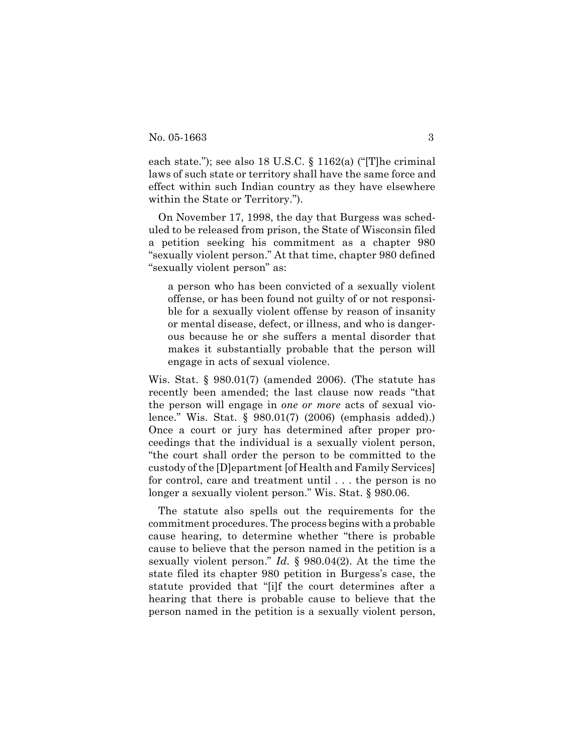each state."); see also 18 U.S.C. § 1162(a) ("[T]he criminal laws of such state or territory shall have the same force and effect within such Indian country as they have elsewhere within the State or Territory.").

On November 17, 1998, the day that Burgess was scheduled to be released from prison, the State of Wisconsin filed a petition seeking his commitment as a chapter 980 "sexually violent person." At that time, chapter 980 defined "sexually violent person" as:

a person who has been convicted of a sexually violent offense, or has been found not guilty of or not responsible for a sexually violent offense by reason of insanity or mental disease, defect, or illness, and who is dangerous because he or she suffers a mental disorder that makes it substantially probable that the person will engage in acts of sexual violence.

Wis. Stat. § 980.01(7) (amended 2006). (The statute has recently been amended; the last clause now reads "that the person will engage in *one or more* acts of sexual violence." Wis. Stat. § 980.01(7) (2006) (emphasis added).) Once a court or jury has determined after proper proceedings that the individual is a sexually violent person, "the court shall order the person to be committed to the custody of the [D]epartment [of Health and Family Services] for control, care and treatment until . . . the person is no longer a sexually violent person." Wis. Stat. § 980.06.

The statute also spells out the requirements for the commitment procedures. The process begins with a probable cause hearing, to determine whether "there is probable cause to believe that the person named in the petition is a sexually violent person." *Id.* § 980.04(2). At the time the state filed its chapter 980 petition in Burgess's case, the statute provided that "[i]f the court determines after a hearing that there is probable cause to believe that the person named in the petition is a sexually violent person,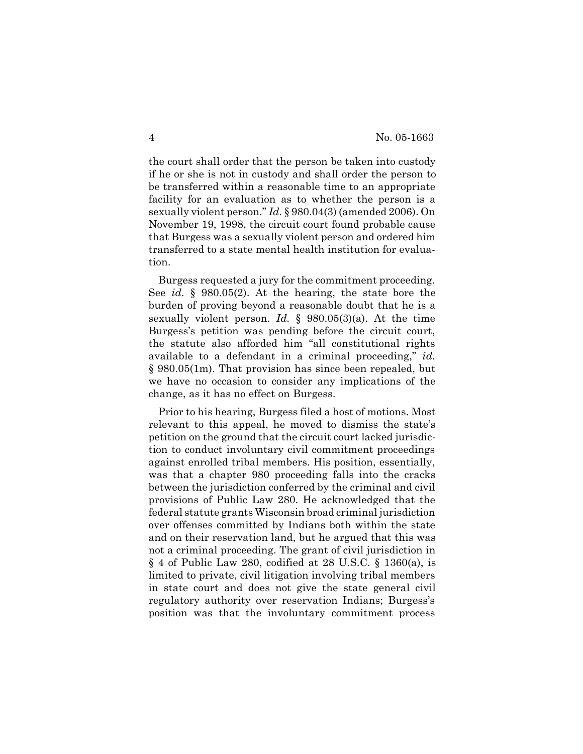the court shall order that the person be taken into custody if he or she is not in custody and shall order the person to be transferred within a reasonable time to an appropriate facility for an evaluation as to whether the person is a sexually violent person." *Id.* § 980.04(3) (amended 2006). On November 19, 1998, the circuit court found probable cause that Burgess was a sexually violent person and ordered him transferred to a state mental health institution for evaluation.

Burgess requested a jury for the commitment proceeding. See *id.* § 980.05(2). At the hearing, the state bore the burden of proving beyond a reasonable doubt that he is a sexually violent person. *Id.* § 980.05(3)(a). At the time Burgess's petition was pending before the circuit court, the statute also afforded him "all constitutional rights available to a defendant in a criminal proceeding," *id.* § 980.05(1m). That provision has since been repealed, but we have no occasion to consider any implications of the change, as it has no effect on Burgess.

Prior to his hearing, Burgess filed a host of motions. Most relevant to this appeal, he moved to dismiss the state's petition on the ground that the circuit court lacked jurisdiction to conduct involuntary civil commitment proceedings against enrolled tribal members. His position, essentially, was that a chapter 980 proceeding falls into the cracks between the jurisdiction conferred by the criminal and civil provisions of Public Law 280. He acknowledged that the federal statute grants Wisconsin broad criminal jurisdiction over offenses committed by Indians both within the state and on their reservation land, but he argued that this was not a criminal proceeding. The grant of civil jurisdiction in § 4 of Public Law 280, codified at 28 U.S.C. § 1360(a), is limited to private, civil litigation involving tribal members in state court and does not give the state general civil regulatory authority over reservation Indians; Burgess's position was that the involuntary commitment process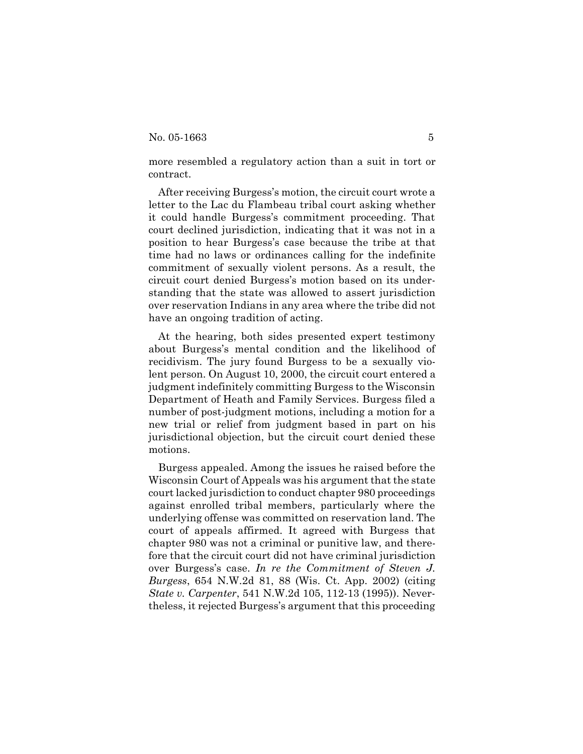more resembled a regulatory action than a suit in tort or contract.

After receiving Burgess's motion, the circuit court wrote a letter to the Lac du Flambeau tribal court asking whether it could handle Burgess's commitment proceeding. That court declined jurisdiction, indicating that it was not in a position to hear Burgess's case because the tribe at that time had no laws or ordinances calling for the indefinite commitment of sexually violent persons. As a result, the circuit court denied Burgess's motion based on its understanding that the state was allowed to assert jurisdiction over reservation Indians in any area where the tribe did not have an ongoing tradition of acting.

At the hearing, both sides presented expert testimony about Burgess's mental condition and the likelihood of recidivism. The jury found Burgess to be a sexually violent person. On August 10, 2000, the circuit court entered a judgment indefinitely committing Burgess to the Wisconsin Department of Heath and Family Services. Burgess filed a number of post-judgment motions, including a motion for a new trial or relief from judgment based in part on his jurisdictional objection, but the circuit court denied these motions.

Burgess appealed. Among the issues he raised before the Wisconsin Court of Appeals was his argument that the state court lacked jurisdiction to conduct chapter 980 proceedings against enrolled tribal members, particularly where the underlying offense was committed on reservation land. The court of appeals affirmed. It agreed with Burgess that chapter 980 was not a criminal or punitive law, and therefore that the circuit court did not have criminal jurisdiction over Burgess's case. *In re the Commitment of Steven J. Burgess*, 654 N.W.2d 81, 88 (Wis. Ct. App. 2002) (citing *State v. Carpenter*, 541 N.W.2d 105, 112-13 (1995)). Nevertheless, it rejected Burgess's argument that this proceeding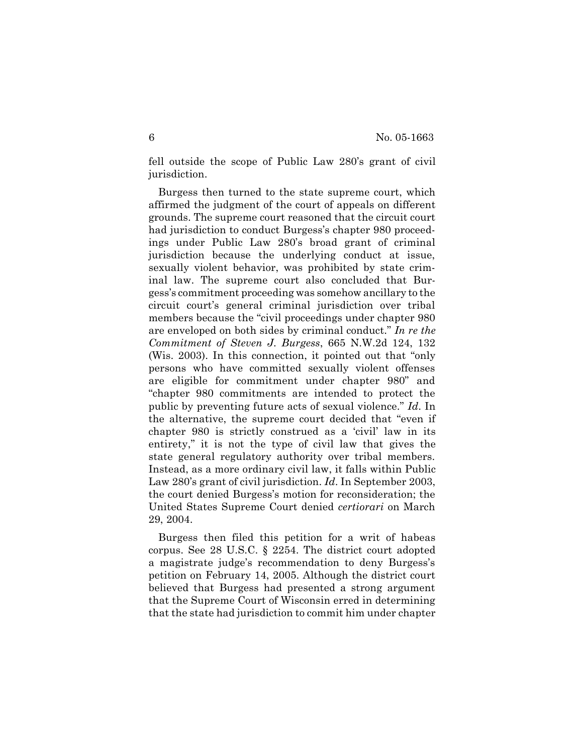fell outside the scope of Public Law 280's grant of civil jurisdiction.

Burgess then turned to the state supreme court, which affirmed the judgment of the court of appeals on different grounds. The supreme court reasoned that the circuit court had jurisdiction to conduct Burgess's chapter 980 proceedings under Public Law 280's broad grant of criminal jurisdiction because the underlying conduct at issue, sexually violent behavior, was prohibited by state criminal law. The supreme court also concluded that Burgess's commitment proceeding was somehow ancillary to the circuit court's general criminal jurisdiction over tribal members because the "civil proceedings under chapter 980 are enveloped on both sides by criminal conduct." *In re the Commitment of Steven J. Burgess*, 665 N.W.2d 124, 132 (Wis. 2003). In this connection, it pointed out that "only persons who have committed sexually violent offenses are eligible for commitment under chapter 980" and "chapter 980 commitments are intended to protect the public by preventing future acts of sexual violence." *Id*. In the alternative, the supreme court decided that "even if chapter 980 is strictly construed as a 'civil' law in its entirety," it is not the type of civil law that gives the state general regulatory authority over tribal members. Instead, as a more ordinary civil law, it falls within Public Law 280's grant of civil jurisdiction. *Id*. In September 2003, the court denied Burgess's motion for reconsideration; the United States Supreme Court denied *certiorari* on March 29, 2004.

Burgess then filed this petition for a writ of habeas corpus. See 28 U.S.C. § 2254. The district court adopted a magistrate judge's recommendation to deny Burgess's petition on February 14, 2005. Although the district court believed that Burgess had presented a strong argument that the Supreme Court of Wisconsin erred in determining that the state had jurisdiction to commit him under chapter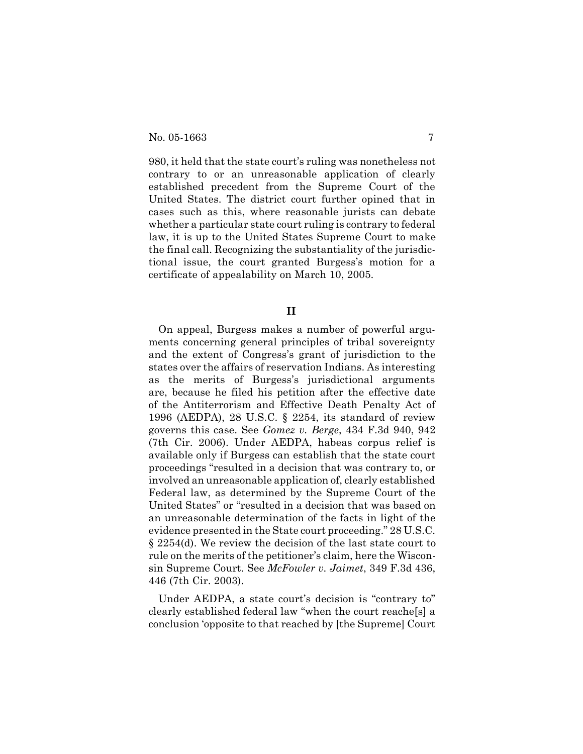980, it held that the state court's ruling was nonetheless not contrary to or an unreasonable application of clearly established precedent from the Supreme Court of the United States. The district court further opined that in cases such as this, where reasonable jurists can debate whether a particular state court ruling is contrary to federal law, it is up to the United States Supreme Court to make the final call. Recognizing the substantiality of the jurisdictional issue, the court granted Burgess's motion for a certificate of appealability on March 10, 2005.

**II**

On appeal, Burgess makes a number of powerful arguments concerning general principles of tribal sovereignty and the extent of Congress's grant of jurisdiction to the states over the affairs of reservation Indians. As interesting as the merits of Burgess's jurisdictional arguments are, because he filed his petition after the effective date of the Antiterrorism and Effective Death Penalty Act of 1996 (AEDPA), 28 U.S.C. § 2254, its standard of review governs this case. See *Gomez v. Berge*, 434 F.3d 940, 942 (7th Cir. 2006). Under AEDPA, habeas corpus relief is available only if Burgess can establish that the state court proceedings "resulted in a decision that was contrary to, or involved an unreasonable application of, clearly established Federal law, as determined by the Supreme Court of the United States" or "resulted in a decision that was based on an unreasonable determination of the facts in light of the evidence presented in the State court proceeding." 28 U.S.C. § 2254(d). We review the decision of the last state court to rule on the merits of the petitioner's claim, here the Wisconsin Supreme Court. See *McFowler v. Jaimet*, 349 F.3d 436, 446 (7th Cir. 2003).

Under AEDPA, a state court's decision is "contrary to" clearly established federal law "when the court reache[s] a conclusion 'opposite to that reached by [the Supreme] Court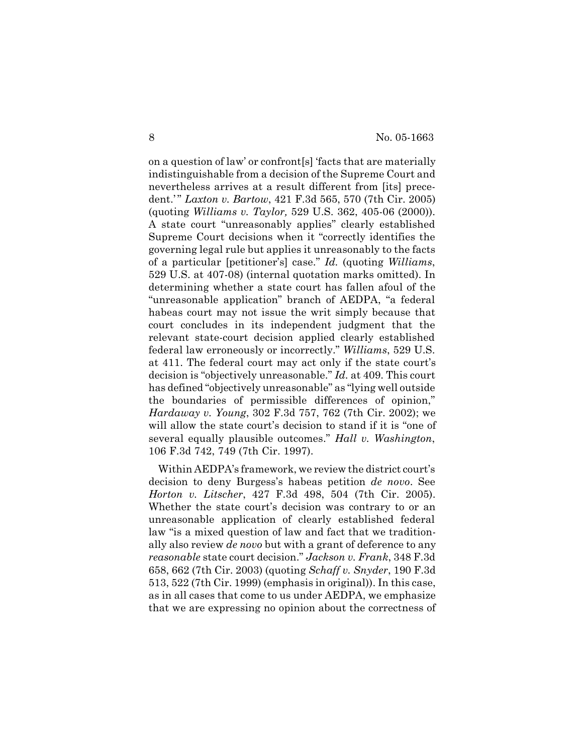on a question of law' or confront[s] 'facts that are materially indistinguishable from a decision of the Supreme Court and nevertheless arrives at a result different from [its] precedent.'" *Laxton v. Bartow*, 421 F.3d 565, 570 (7th Cir. 2005) (quoting *Williams v. Taylor,* 529 U.S. 362, 405-06 (2000)). A state court "unreasonably applies" clearly established Supreme Court decisions when it "correctly identifies the governing legal rule but applies it unreasonably to the facts of a particular [petitioner's] case." *Id.* (quoting *Williams*, 529 U.S. at 407-08) (internal quotation marks omitted). In determining whether a state court has fallen afoul of the "unreasonable application" branch of AEDPA, "a federal habeas court may not issue the writ simply because that court concludes in its independent judgment that the relevant state-court decision applied clearly established federal law erroneously or incorrectly." *Williams*, 529 U.S. at 411. The federal court may act only if the state court's decision is "objectively unreasonable." *Id.* at 409. This court has defined "objectively unreasonable" as "lying well outside the boundaries of permissible differences of opinion," *Hardaway v. Young*, 302 F.3d 757, 762 (7th Cir. 2002); we will allow the state court's decision to stand if it is "one of several equally plausible outcomes." *Hall v. Washington*, 106 F.3d 742, 749 (7th Cir. 1997).

Within AEDPA's framework, we review the district court's decision to deny Burgess's habeas petition *de novo*. See *Horton v. Litscher*, 427 F.3d 498, 504 (7th Cir. 2005). Whether the state court's decision was contrary to or an unreasonable application of clearly established federal law "is a mixed question of law and fact that we traditionally also review *de novo* but with a grant of deference to any *reasonable* state court decision." *Jackson v. Frank*, 348 F.3d 658, 662 (7th Cir. 2003) (quoting *Schaff v. Snyder*, 190 F.3d 513, 522 (7th Cir. 1999) (emphasis in original)). In this case, as in all cases that come to us under AEDPA, we emphasize that we are expressing no opinion about the correctness of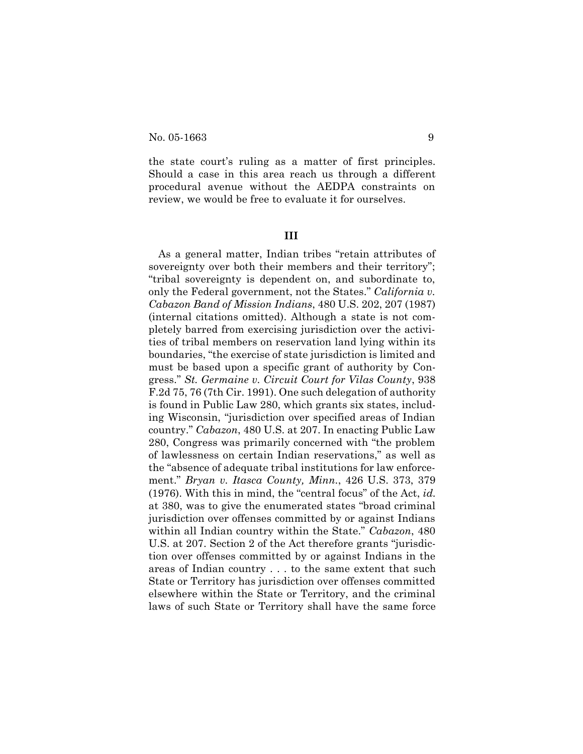the state court's ruling as a matter of first principles. Should a case in this area reach us through a different procedural avenue without the AEDPA constraints on review, we would be free to evaluate it for ourselves.

**III**

As a general matter, Indian tribes "retain attributes of sovereignty over both their members and their territory"; "tribal sovereignty is dependent on, and subordinate to, only the Federal government, not the States." *California v. Cabazon Band of Mission Indians*, 480 U.S. 202, 207 (1987) (internal citations omitted). Although a state is not completely barred from exercising jurisdiction over the activities of tribal members on reservation land lying within its boundaries, "the exercise of state jurisdiction is limited and must be based upon a specific grant of authority by Congress." *St. Germaine v. Circuit Court for Vilas County*, 938 F.2d 75, 76 (7th Cir. 1991). One such delegation of authority is found in Public Law 280, which grants six states, including Wisconsin, "jurisdiction over specified areas of Indian country." *Cabazon*, 480 U.S. at 207. In enacting Public Law 280, Congress was primarily concerned with "the problem of lawlessness on certain Indian reservations," as well as the "absence of adequate tribal institutions for law enforcement." *Bryan v. Itasca County, Minn.*, 426 U.S. 373, 379 (1976). With this in mind, the "central focus" of the Act, *id.* at 380, was to give the enumerated states "broad criminal jurisdiction over offenses committed by or against Indians within all Indian country within the State." *Cabazon*, 480 U.S. at 207. Section 2 of the Act therefore grants "jurisdiction over offenses committed by or against Indians in the areas of Indian country . . . to the same extent that such State or Territory has jurisdiction over offenses committed elsewhere within the State or Territory, and the criminal laws of such State or Territory shall have the same force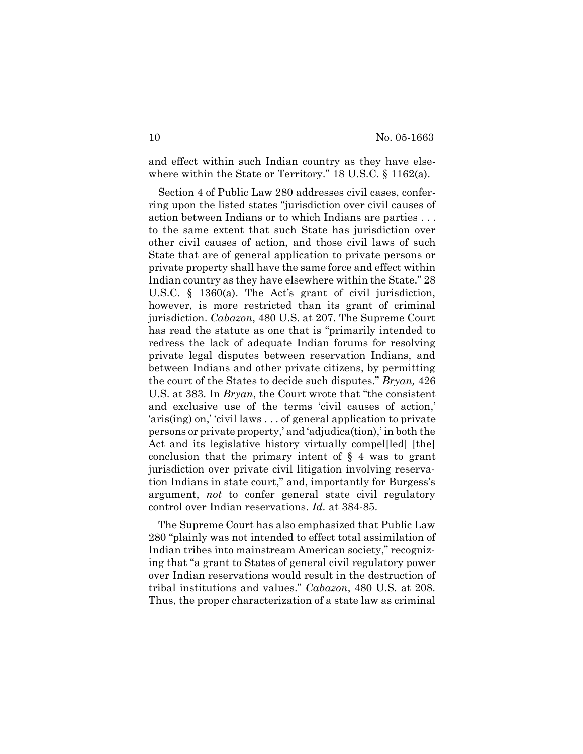and effect within such Indian country as they have elsewhere within the State or Territory." 18 U.S.C. § 1162(a).

Section 4 of Public Law 280 addresses civil cases, conferring upon the listed states "jurisdiction over civil causes of action between Indians or to which Indians are parties . . . to the same extent that such State has jurisdiction over other civil causes of action, and those civil laws of such State that are of general application to private persons or private property shall have the same force and effect within Indian country as they have elsewhere within the State." 28 U.S.C. § 1360(a). The Act's grant of civil jurisdiction, however, is more restricted than its grant of criminal jurisdiction. *Cabazon*, 480 U.S. at 207. The Supreme Court has read the statute as one that is "primarily intended to redress the lack of adequate Indian forums for resolving private legal disputes between reservation Indians, and between Indians and other private citizens, by permitting the court of the States to decide such disputes." *Bryan,* 426 U.S. at 383. In *Bryan*, the Court wrote that "the consistent and exclusive use of the terms 'civil causes of action,' 'aris(ing) on,' 'civil laws . . . of general application to private persons or private property,' and 'adjudica(tion),' in both the Act and its legislative history virtually compel[led] [the] conclusion that the primary intent of § 4 was to grant jurisdiction over private civil litigation involving reservation Indians in state court," and, importantly for Burgess's argument, *not* to confer general state civil regulatory control over Indian reservations. *Id.* at 384-85.

The Supreme Court has also emphasized that Public Law 280 "plainly was not intended to effect total assimilation of Indian tribes into mainstream American society," recognizing that "a grant to States of general civil regulatory power over Indian reservations would result in the destruction of tribal institutions and values." *Cabazon*, 480 U.S. at 208. Thus, the proper characterization of a state law as criminal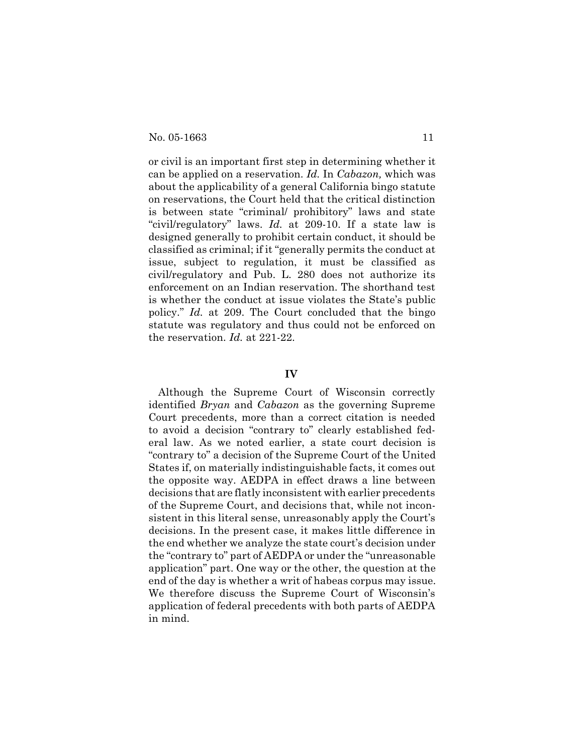or civil is an important first step in determining whether it can be applied on a reservation. *Id.* In *Cabazon,* which was about the applicability of a general California bingo statute on reservations, the Court held that the critical distinction is between state "criminal/ prohibitory" laws and state "civil/regulatory" laws. *Id.* at 209-10. If a state law is designed generally to prohibit certain conduct, it should be classified as criminal; if it "generally permits the conduct at issue, subject to regulation, it must be classified as civil/regulatory and Pub. L. 280 does not authorize its enforcement on an Indian reservation. The shorthand test is whether the conduct at issue violates the State's public policy." *Id.* at 209. The Court concluded that the bingo statute was regulatory and thus could not be enforced on the reservation. *Id.* at 221-22.

### **IV**

Although the Supreme Court of Wisconsin correctly identified *Bryan* and *Cabazon* as the governing Supreme Court precedents, more than a correct citation is needed to avoid a decision "contrary to" clearly established federal law. As we noted earlier, a state court decision is "contrary to" a decision of the Supreme Court of the United States if, on materially indistinguishable facts, it comes out the opposite way. AEDPA in effect draws a line between decisions that are flatly inconsistent with earlier precedents of the Supreme Court, and decisions that, while not inconsistent in this literal sense, unreasonably apply the Court's decisions. In the present case, it makes little difference in the end whether we analyze the state court's decision under the "contrary to" part of AEDPA or under the "unreasonable application" part. One way or the other, the question at the end of the day is whether a writ of habeas corpus may issue. We therefore discuss the Supreme Court of Wisconsin's application of federal precedents with both parts of AEDPA in mind.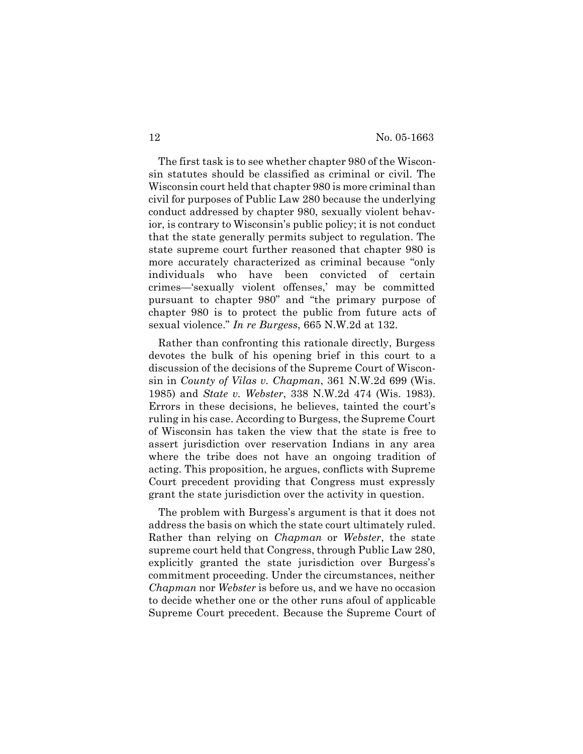The first task is to see whether chapter 980 of the Wisconsin statutes should be classified as criminal or civil. The Wisconsin court held that chapter 980 is more criminal than civil for purposes of Public Law 280 because the underlying conduct addressed by chapter 980, sexually violent behavior, is contrary to Wisconsin's public policy; it is not conduct that the state generally permits subject to regulation. The state supreme court further reasoned that chapter 980 is more accurately characterized as criminal because "only individuals who have been convicted of certain crimes—'sexually violent offenses,' may be committed pursuant to chapter 980" and "the primary purpose of chapter 980 is to protect the public from future acts of sexual violence." *In re Burgess*, 665 N.W.2d at 132.

Rather than confronting this rationale directly, Burgess devotes the bulk of his opening brief in this court to a discussion of the decisions of the Supreme Court of Wisconsin in *County of Vilas v. Chapman*, 361 N.W.2d 699 (Wis. 1985) and *State v. Webster*, 338 N.W.2d 474 (Wis. 1983). Errors in these decisions, he believes, tainted the court's ruling in his case. According to Burgess, the Supreme Court of Wisconsin has taken the view that the state is free to assert jurisdiction over reservation Indians in any area where the tribe does not have an ongoing tradition of acting. This proposition, he argues, conflicts with Supreme Court precedent providing that Congress must expressly grant the state jurisdiction over the activity in question.

The problem with Burgess's argument is that it does not address the basis on which the state court ultimately ruled. Rather than relying on *Chapman* or *Webster*, the state supreme court held that Congress, through Public Law 280, explicitly granted the state jurisdiction over Burgess's commitment proceeding. Under the circumstances, neither *Chapman* nor *Webster* is before us, and we have no occasion to decide whether one or the other runs afoul of applicable Supreme Court precedent. Because the Supreme Court of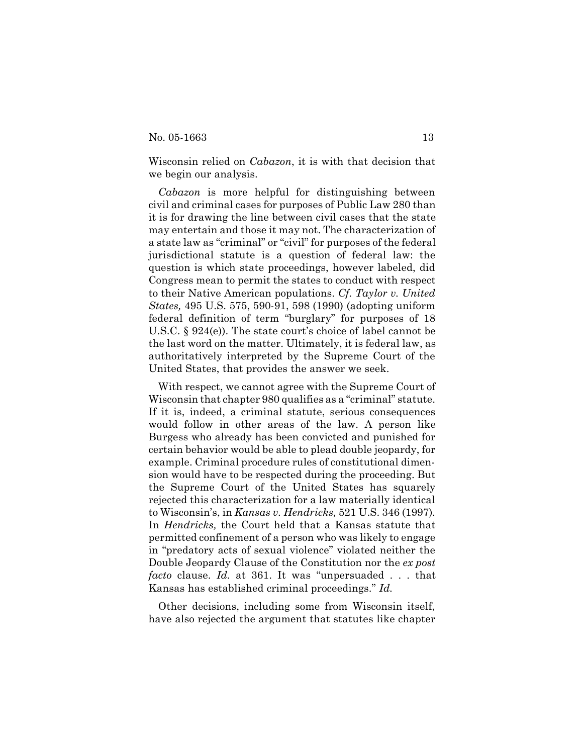Wisconsin relied on *Cabazon*, it is with that decision that we begin our analysis.

*Cabazon* is more helpful for distinguishing between civil and criminal cases for purposes of Public Law 280 than it is for drawing the line between civil cases that the state may entertain and those it may not. The characterization of a state law as "criminal" or "civil" for purposes of the federal jurisdictional statute is a question of federal law: the question is which state proceedings, however labeled, did Congress mean to permit the states to conduct with respect to their Native American populations. *Cf. Taylor v. United States,* 495 U.S. 575, 590-91, 598 (1990) (adopting uniform federal definition of term "burglary" for purposes of 18 U.S.C. § 924(e)). The state court's choice of label cannot be the last word on the matter. Ultimately, it is federal law, as authoritatively interpreted by the Supreme Court of the United States, that provides the answer we seek.

With respect, we cannot agree with the Supreme Court of Wisconsin that chapter 980 qualifies as a "criminal" statute. If it is, indeed, a criminal statute, serious consequences would follow in other areas of the law. A person like Burgess who already has been convicted and punished for certain behavior would be able to plead double jeopardy, for example. Criminal procedure rules of constitutional dimension would have to be respected during the proceeding. But the Supreme Court of the United States has squarely rejected this characterization for a law materially identical to Wisconsin's, in *Kansas v. Hendricks,* 521 U.S. 346 (1997)*.* In *Hendricks,* the Court held that a Kansas statute that permitted confinement of a person who was likely to engage in "predatory acts of sexual violence" violated neither the Double Jeopardy Clause of the Constitution nor the *ex post facto* clause. *Id.* at 361. It was "unpersuaded . . . that Kansas has established criminal proceedings." *Id.*

Other decisions, including some from Wisconsin itself, have also rejected the argument that statutes like chapter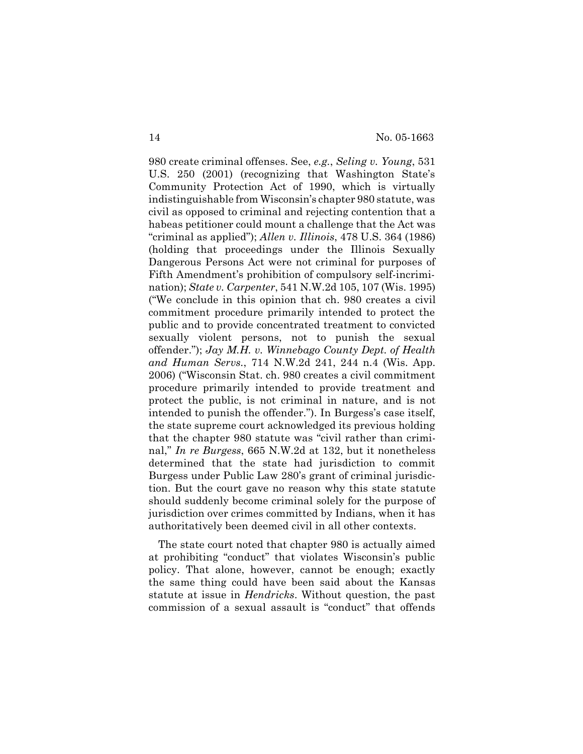980 create criminal offenses. See, *e.g.*, *Seling v. Young*, 531 U.S. 250 (2001) (recognizing that Washington State's Community Protection Act of 1990, which is virtually indistinguishable from Wisconsin's chapter 980 statute, was civil as opposed to criminal and rejecting contention that a habeas petitioner could mount a challenge that the Act was "criminal as applied"); *Allen v. Illinois*, 478 U.S. 364 (1986) (holding that proceedings under the Illinois Sexually Dangerous Persons Act were not criminal for purposes of Fifth Amendment's prohibition of compulsory self-incrimination); *State v. Carpenter*, 541 N.W.2d 105, 107 (Wis. 1995) ("We conclude in this opinion that ch. 980 creates a civil commitment procedure primarily intended to protect the public and to provide concentrated treatment to convicted sexually violent persons, not to punish the sexual offender."); *Jay M.H. v. Winnebago County Dept. of Health and Human Servs.*, 714 N.W.2d 241, 244 n.4 (Wis. App. 2006) ("Wisconsin Stat. ch. 980 creates a civil commitment procedure primarily intended to provide treatment and protect the public, is not criminal in nature, and is not intended to punish the offender."). In Burgess's case itself, the state supreme court acknowledged its previous holding that the chapter 980 statute was "civil rather than criminal," *In re Burgess*, 665 N.W.2d at 132, but it nonetheless determined that the state had jurisdiction to commit Burgess under Public Law 280's grant of criminal jurisdiction. But the court gave no reason why this state statute should suddenly become criminal solely for the purpose of jurisdiction over crimes committed by Indians, when it has authoritatively been deemed civil in all other contexts.

The state court noted that chapter 980 is actually aimed at prohibiting "conduct" that violates Wisconsin's public policy. That alone, however, cannot be enough; exactly the same thing could have been said about the Kansas statute at issue in *Hendricks*. Without question, the past commission of a sexual assault is "conduct" that offends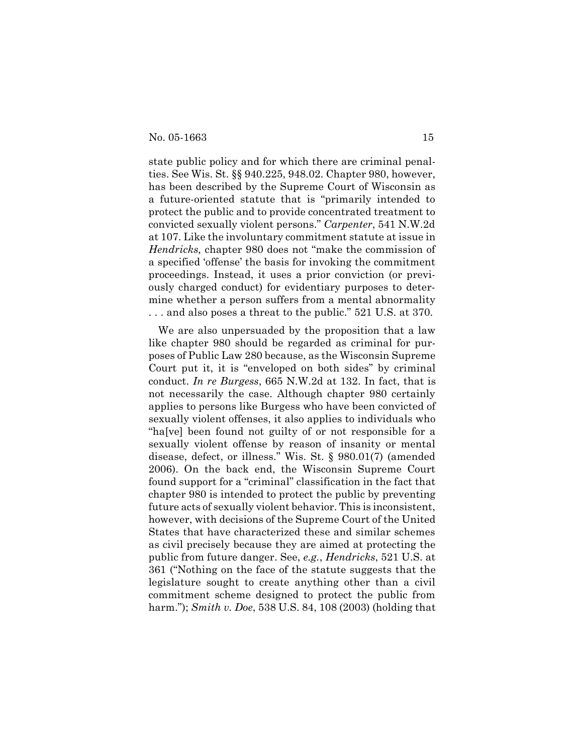state public policy and for which there are criminal penalties. See Wis. St. §§ 940.225, 948.02. Chapter 980, however, has been described by the Supreme Court of Wisconsin as a future-oriented statute that is "primarily intended to protect the public and to provide concentrated treatment to convicted sexually violent persons." *Carpenter*, 541 N.W.2d at 107. Like the involuntary commitment statute at issue in *Hendricks,* chapter 980 does not "make the commission of a specified 'offense' the basis for invoking the commitment proceedings. Instead, it uses a prior conviction (or previously charged conduct) for evidentiary purposes to determine whether a person suffers from a mental abnormality . . . and also poses a threat to the public." 521 U.S. at 370.

We are also unpersuaded by the proposition that a law like chapter 980 should be regarded as criminal for purposes of Public Law 280 because, as the Wisconsin Supreme Court put it, it is "enveloped on both sides" by criminal conduct. *In re Burgess*, 665 N.W.2d at 132. In fact, that is not necessarily the case. Although chapter 980 certainly applies to persons like Burgess who have been convicted of sexually violent offenses, it also applies to individuals who "ha[ve] been found not guilty of or not responsible for a sexually violent offense by reason of insanity or mental disease, defect, or illness." Wis. St. § 980.01(7) (amended 2006). On the back end, the Wisconsin Supreme Court found support for a "criminal" classification in the fact that chapter 980 is intended to protect the public by preventing future acts of sexually violent behavior. This is inconsistent, however, with decisions of the Supreme Court of the United States that have characterized these and similar schemes as civil precisely because they are aimed at protecting the public from future danger. See, *e.g.*, *Hendricks*, 521 U.S. at 361 ("Nothing on the face of the statute suggests that the legislature sought to create anything other than a civil commitment scheme designed to protect the public from harm."); *Smith v. Doe*, 538 U.S. 84, 108 (2003) (holding that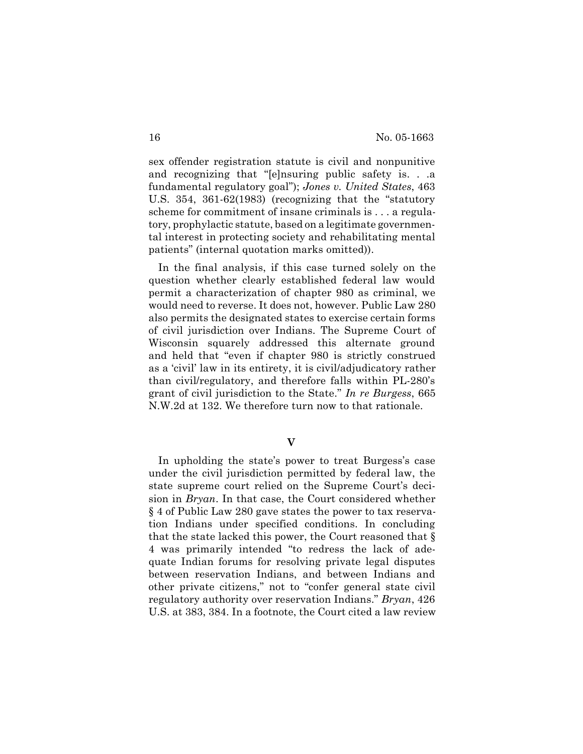sex offender registration statute is civil and nonpunitive and recognizing that "[e]nsuring public safety is. . .a fundamental regulatory goal"); *Jones v. United States*, 463 U.S. 354, 361-62(1983) (recognizing that the "statutory scheme for commitment of insane criminals is . . . a regulatory, prophylactic statute, based on a legitimate governmental interest in protecting society and rehabilitating mental patients" (internal quotation marks omitted)).

In the final analysis, if this case turned solely on the question whether clearly established federal law would permit a characterization of chapter 980 as criminal, we would need to reverse. It does not, however. Public Law 280 also permits the designated states to exercise certain forms of civil jurisdiction over Indians. The Supreme Court of Wisconsin squarely addressed this alternate ground and held that "even if chapter 980 is strictly construed as a 'civil' law in its entirety, it is civil/adjudicatory rather than civil/regulatory, and therefore falls within PL-280's grant of civil jurisdiction to the State." *In re Burgess*, 665 N.W.2d at 132. We therefore turn now to that rationale.

**V**

In upholding the state's power to treat Burgess's case under the civil jurisdiction permitted by federal law, the state supreme court relied on the Supreme Court's decision in *Bryan*. In that case, the Court considered whether § 4 of Public Law 280 gave states the power to tax reservation Indians under specified conditions. In concluding that the state lacked this power, the Court reasoned that § 4 was primarily intended "to redress the lack of adequate Indian forums for resolving private legal disputes between reservation Indians, and between Indians and other private citizens," not to "confer general state civil regulatory authority over reservation Indians." *Bryan*, 426 U.S. at 383, 384. In a footnote, the Court cited a law review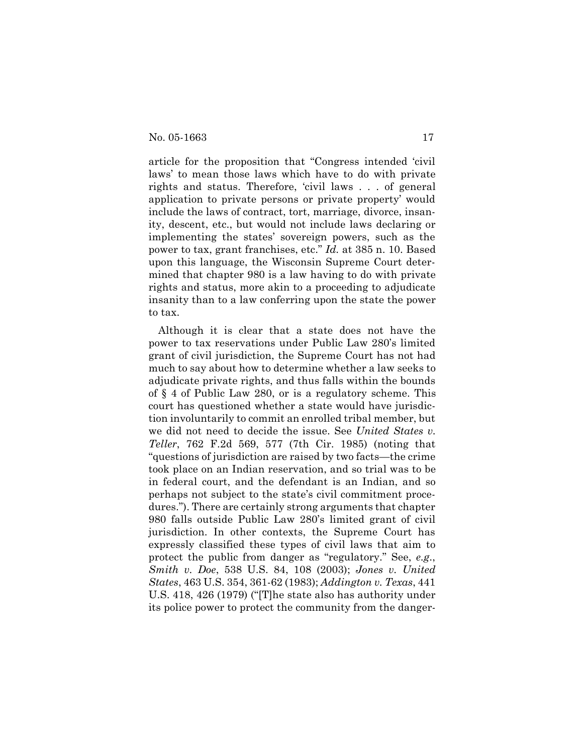article for the proposition that "Congress intended 'civil laws' to mean those laws which have to do with private rights and status. Therefore, 'civil laws . . . of general application to private persons or private property' would include the laws of contract, tort, marriage, divorce, insanity, descent, etc., but would not include laws declaring or implementing the states' sovereign powers, such as the power to tax, grant franchises, etc." *Id.* at 385 n. 10. Based upon this language, the Wisconsin Supreme Court determined that chapter 980 is a law having to do with private rights and status, more akin to a proceeding to adjudicate insanity than to a law conferring upon the state the power to tax.

Although it is clear that a state does not have the power to tax reservations under Public Law 280's limited grant of civil jurisdiction, the Supreme Court has not had much to say about how to determine whether a law seeks to adjudicate private rights, and thus falls within the bounds of § 4 of Public Law 280, or is a regulatory scheme. This court has questioned whether a state would have jurisdiction involuntarily to commit an enrolled tribal member, but we did not need to decide the issue. See *United States v. Teller*, 762 F.2d 569, 577 (7th Cir. 1985) (noting that "questions of jurisdiction are raised by two facts—the crime took place on an Indian reservation, and so trial was to be in federal court, and the defendant is an Indian, and so perhaps not subject to the state's civil commitment procedures."). There are certainly strong arguments that chapter 980 falls outside Public Law 280's limited grant of civil jurisdiction. In other contexts, the Supreme Court has expressly classified these types of civil laws that aim to protect the public from danger as "regulatory." See, *e.g*., *Smith v. Doe*, 538 U.S. 84, 108 (2003); *Jones v. United States*, 463 U.S. 354, 361-62 (1983); *Addington v. Texas*, 441 U.S. 418, 426 (1979) ("[T]he state also has authority under its police power to protect the community from the danger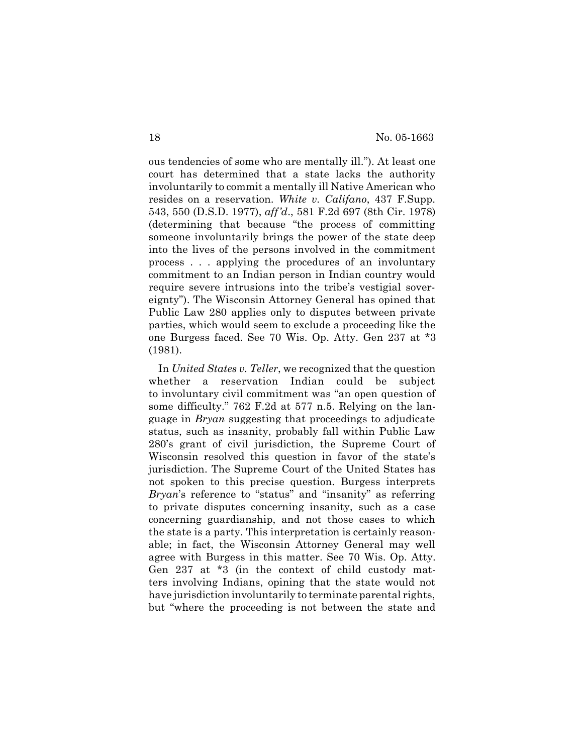ous tendencies of some who are mentally ill."). At least one court has determined that a state lacks the authority involuntarily to commit a mentally ill Native American who resides on a reservation. *White v. Califano*, 437 F.Supp. 543, 550 (D.S.D. 1977), *aff'd*., 581 F.2d 697 (8th Cir. 1978) (determining that because "the process of committing someone involuntarily brings the power of the state deep into the lives of the persons involved in the commitment process . . . applying the procedures of an involuntary commitment to an Indian person in Indian country would require severe intrusions into the tribe's vestigial sovereignty"). The Wisconsin Attorney General has opined that Public Law 280 applies only to disputes between private parties, which would seem to exclude a proceeding like the one Burgess faced. See 70 Wis. Op. Atty. Gen 237 at \*3 (1981).

In *United States v. Teller*, we recognized that the question whether a reservation Indian could be subject to involuntary civil commitment was "an open question of some difficulty." 762 F.2d at 577 n.5. Relying on the language in *Bryan* suggesting that proceedings to adjudicate status, such as insanity, probably fall within Public Law 280's grant of civil jurisdiction, the Supreme Court of Wisconsin resolved this question in favor of the state's jurisdiction. The Supreme Court of the United States has not spoken to this precise question. Burgess interprets *Bryan*'s reference to "status" and "insanity" as referring to private disputes concerning insanity, such as a case concerning guardianship, and not those cases to which the state is a party. This interpretation is certainly reasonable; in fact, the Wisconsin Attorney General may well agree with Burgess in this matter. See 70 Wis. Op. Atty. Gen 237 at \*3 (in the context of child custody matters involving Indians, opining that the state would not have jurisdiction involuntarily to terminate parental rights, but "where the proceeding is not between the state and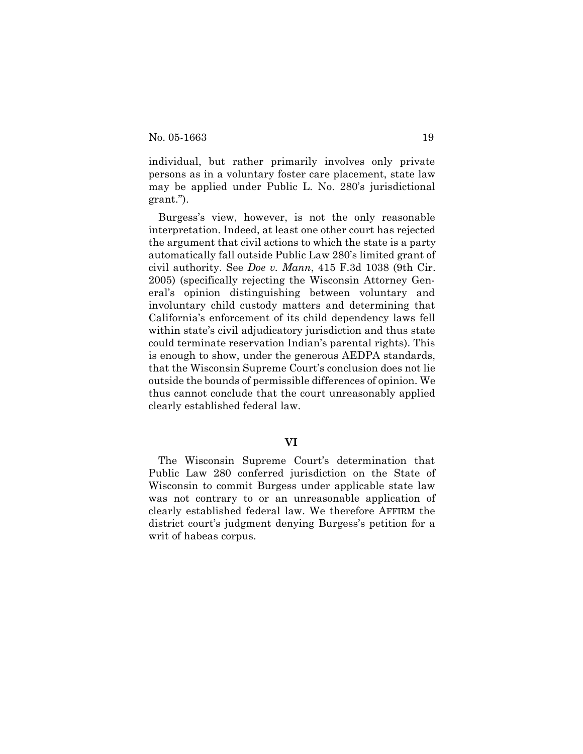individual, but rather primarily involves only private persons as in a voluntary foster care placement, state law may be applied under Public L. No. 280's jurisdictional grant.").

Burgess's view, however, is not the only reasonable interpretation. Indeed, at least one other court has rejected the argument that civil actions to which the state is a party automatically fall outside Public Law 280's limited grant of civil authority. See *Doe v. Mann*, 415 F.3d 1038 (9th Cir. 2005) (specifically rejecting the Wisconsin Attorney General's opinion distinguishing between voluntary and involuntary child custody matters and determining that California's enforcement of its child dependency laws fell within state's civil adjudicatory jurisdiction and thus state could terminate reservation Indian's parental rights). This is enough to show, under the generous AEDPA standards, that the Wisconsin Supreme Court's conclusion does not lie outside the bounds of permissible differences of opinion. We thus cannot conclude that the court unreasonably applied clearly established federal law.

### **VI**

The Wisconsin Supreme Court's determination that Public Law 280 conferred jurisdiction on the State of Wisconsin to commit Burgess under applicable state law was not contrary to or an unreasonable application of clearly established federal law. We therefore AFFIRM the district court's judgment denying Burgess's petition for a writ of habeas corpus.